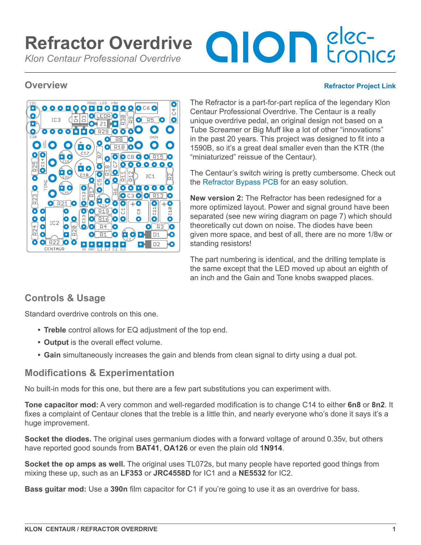# **OIOD** Econics **Refractor Overdrive** *Klon Centaur Professional Overdrive*

#### **Overview [Refractor Project Link](https://aionelectronics.com/project/refractor-centaur-overdrive/)**



The Refractor is a part-for-part replica of the legendary Klon Centaur Professional Overdrive. The Centaur is a really unique overdrive pedal, an original design not based on a Tube Screamer or Big Muff like a lot of other "innovations" in the past 20 years. This project was designed to fit into a 1590B, so it's a great deal smaller even than the KTR (the "miniaturized" reissue of the Centaur).

The Centaur's switch wiring is pretty cumbersome. Check out the [Refractor Bypass PCB](https://aionelectronics.com/project/refractor-3pdt-bypass-pcb/) for an easy solution.

**New version 2:** The Refractor has been redesigned for a more optimized layout. Power and signal ground have been separated (see new wiring diagram on page 7) which should theoretically cut down on noise. The diodes have been given more space, and best of all, there are no more 1/8w or standing resistors!

The part numbering is identical, and the drilling template is the same except that the LED moved up about an eighth of an inch and the Gain and Tone knobs swapped places.

# **Controls & Usage**

Standard overdrive controls on this one.

- **• Treble** control allows for EQ adjustment of the top end.
- **• Output** is the overall effect volume.
- Gain simultaneously increases the gain and blends from clean signal to dirty using a dual pot.

# **Modifications & Experimentation**

No built-in mods for this one, but there are a few part substitutions you can experiment with.

**Tone capacitor mod:** A very common and well-regarded modification is to change C14 to either **6n8** or **8n2**. It fixes a complaint of Centaur clones that the treble is a little thin, and nearly everyone who's done it says it's a huge improvement.

**Socket the diodes.** The original uses germanium diodes with a forward voltage of around 0.35v, but others have reported good sounds from **BAT41**, **OA126** or even the plain old **1N914**.

**Socket the op amps as well.** The original uses TL072s, but many people have reported good things from mixing these up, such as an **LF353** or **JRC4558D** for IC1 and a **NE5532** for IC2.

**Bass guitar mod:** Use a **390n** film capacitor for C1 if you're going to use it as an overdrive for bass.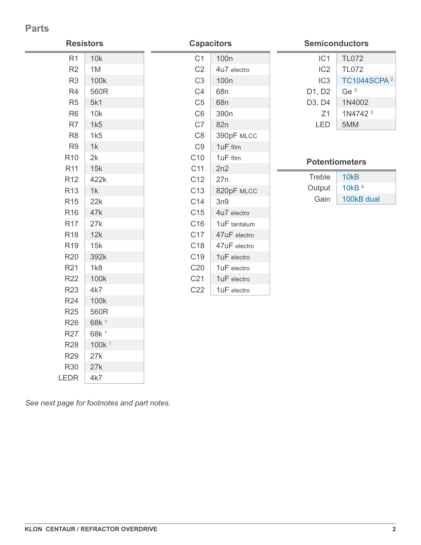## **Parts**

| <b>Resistors</b> |                   | <b>Capacitors</b> |                  | <b>Semiconductors</b> |                         |
|------------------|-------------------|-------------------|------------------|-----------------------|-------------------------|
| R <sub>1</sub>   | 10k               | C <sub>1</sub>    | 100 <sub>n</sub> | IC <sub>1</sub>       | <b>TL072</b>            |
| R2               | 1M                | C <sub>2</sub>    | 4u7 electro      | IC <sub>2</sub>       | <b>TL072</b>            |
| R <sub>3</sub>   | 100k              | C <sub>3</sub>    | 100 <sub>n</sub> | IC <sub>3</sub>       | TC1044SCPA <sup>2</sup> |
| R4               | 560R              | C4                | 68n              | D1, D2                | Ge <sup>3</sup>         |
| R <sub>5</sub>   | 5k1               | C <sub>5</sub>    | 68n              | D3, D4                | 1N4002                  |
| R <sub>6</sub>   | 10k               | C <sub>6</sub>    | 390 <sub>n</sub> | Z1                    | 1N4742 <sup>2</sup>     |
| R7               | 1k5               | C7                | 82n              | LED                   | 5MM                     |
| R <sub>8</sub>   | 1k5               | C <sub>8</sub>    | 390pF MLCC       |                       |                         |
| R <sub>9</sub>   | 1k                | C <sub>9</sub>    | 1uF film         |                       |                         |
| R <sub>10</sub>  | 2k                | C <sub>10</sub>   | 1uF film         |                       | <b>Potentiometers</b>   |
| R <sub>11</sub>  | 15k               | C11               | 2n2              |                       |                         |
| R <sub>12</sub>  | 422k              | C12               | 27n              | Treble                | <b>10kB</b>             |
| R <sub>13</sub>  | 1k                | C <sub>13</sub>   | 820pF MLCC       | Output                | 10 $kB$ <sup>4</sup>    |
| <b>R15</b>       | 22k               | C14               | 3n9              | Gain                  | 100kB dual              |
| R <sub>16</sub>  | 47k               | C <sub>15</sub>   | 4u7 electro      |                       |                         |
| <b>R17</b>       | 27k               | C <sub>16</sub>   | 1uF tantalum     |                       |                         |
| R <sub>18</sub>  | 12k               | C17               | 47uF electro     |                       |                         |
| R <sub>19</sub>  | 15k               | C18               | 47uF electro     |                       |                         |
| R20              | 392k              | C <sub>19</sub>   | 1uF electro      |                       |                         |
| R <sub>21</sub>  | 1k8               | C20               | 1uF electro      |                       |                         |
| R <sub>22</sub>  | 100k              | C <sub>21</sub>   | 1uF electro      |                       |                         |
| <b>R23</b>       | 4k7               | C22               | 1uF electro      |                       |                         |
| R <sub>24</sub>  | 100k              |                   |                  |                       |                         |
| <b>R25</b>       | 560R              |                   |                  |                       |                         |
| <b>R26</b>       | 68k <sup>1</sup>  |                   |                  |                       |                         |
| R <sub>27</sub>  | 68k <sup>1</sup>  |                   |                  |                       |                         |
| <b>R28</b>       | 100k <sup>1</sup> |                   |                  |                       |                         |

*See next page for footnotes and part notes.*

 $R29$  27k R30 27k  $LEDR$  4k7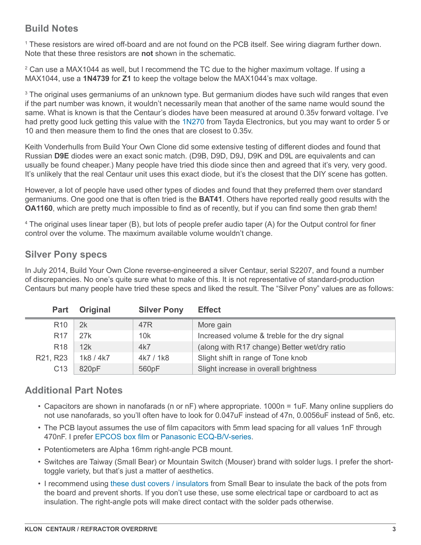# **Build Notes**

1 These resistors are wired off-board and are not found on the PCB itself. See wiring diagram further down. Note that these three resistors are **not** shown in the schematic.

 $2$  Can use a MAX1044 as well, but I recommend the TC due to the higher maximum voltage. If using a MAX1044, use a **1N4739** for **Z1** to keep the voltage below the MAX1044's max voltage.

<sup>3</sup> The original uses germaniums of an unknown type. But germanium diodes have such wild ranges that even if the part number was known, it wouldn't necessarily mean that another of the same name would sound the same. What is known is that the Centaur's diodes have been measured at around 0.35v forward voltage. I've had pretty good luck getting this value with the [1N270](http://www.taydaelectronics.com/1n270-germanium-diode-do-7.html) from Tayda Electronics, but you may want to order 5 or 10 and then measure them to find the ones that are closest to 0.35v.

Keith Vonderhulls from Build Your Own Clone did some extensive testing of different diodes and found that Russian **D9E** diodes were an exact sonic match. (D9B, D9D, D9J, D9K and D9L are equivalents and can usually be found cheaper.) Many people have tried this diode since then and agreed that it's very, very good. It's unlikely that the real Centaur unit uses this exact diode, but it's the closest that the DIY scene has gotten.

However, a lot of people have used other types of diodes and found that they preferred them over standard germaniums. One good one that is often tried is the **BAT41**. Others have reported really good results with the **OA1160**, which are pretty much impossible to find as of recently, but if you can find some then grab them!

4 The original uses linear taper (B), but lots of people prefer audio taper (A) for the Output control for finer control over the volume. The maximum available volume wouldn't change.

## **Silver Pony specs**

In July 2014, Build Your Own Clone reverse-engineered a silver Centaur, serial S2207, and found a number of discrepancies. No one's quite sure what to make of this. It is not representative of standard-production Centaurs but many people have tried these specs and liked the result. The "Silver Pony" values are as follows:

| <b>Part</b>     | <b>Original</b> | <b>Silver Pony</b> | <b>Effect</b>                                |
|-----------------|-----------------|--------------------|----------------------------------------------|
| R <sub>10</sub> | 2k              | 47R                | More gain                                    |
| R <sub>17</sub> | 27k             | 10k                | Increased volume & treble for the dry signal |
| R <sub>18</sub> | 12k             | 4k7                | (along with R17 change) Better wet/dry ratio |
| R21, R23        | 1k8 / 4k7       | 4k7 / 1k8          | Slight shift in range of Tone knob           |
| C <sub>13</sub> | 820pF           | 560pF              | Slight increase in overall brightness        |

# **Additional Part Notes**

- Capacitors are shown in nanofarads (n or nF) where appropriate. 1000n = 1uF. Many online suppliers do not use nanofarads, so you'll often have to look for 0.047uF instead of 47n, 0.0056uF instead of 5n6, etc.
- The PCB layout assumes the use of film capacitors with 5mm lead spacing for all values 1nF through 470nF. I prefer [EPCOS box film](https://aionelectronics.com/link/epcos-box-film/) or [Panasonic ECQ-B/V-series](https://aionelectronics.com/link/panasonic-film/).
- Potentiometers are Alpha 16mm right-angle PCB mount.
- Switches are Taiway (Small Bear) or Mountain Switch (Mouser) brand with solder lugs. I prefer the shorttoggle variety, but that's just a matter of aesthetics.
- I recommend using [these dust covers / insulators](https://aionelectronics.com/link/16mm-dust-covers/) from Small Bear to insulate the back of the pots from the board and prevent shorts. If you don't use these, use some electrical tape or cardboard to act as insulation. The right-angle pots will make direct contact with the solder pads otherwise.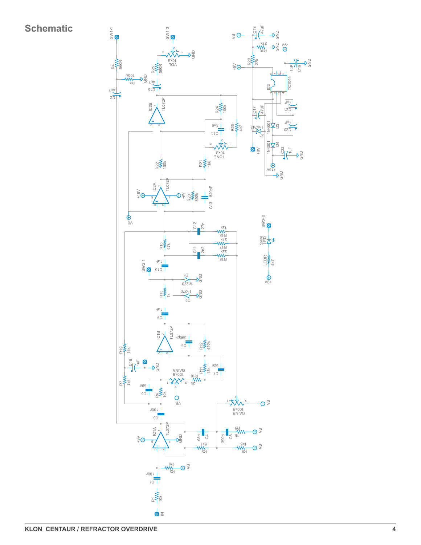# **Schematic**

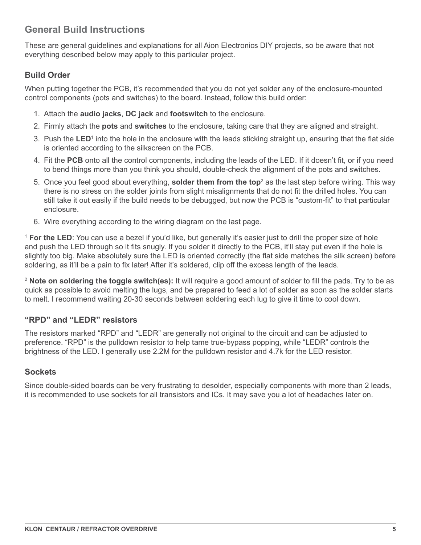# **General Build Instructions**

These are general guidelines and explanations for all Aion Electronics DIY projects, so be aware that not everything described below may apply to this particular project.

### **Build Order**

When putting together the PCB, it's recommended that you do not yet solder any of the enclosure-mounted control components (pots and switches) to the board. Instead, follow this build order:

- 1. Attach the **audio jacks**, **DC jack** and **footswitch** to the enclosure.
- 2. Firmly attach the **pots** and **switches** to the enclosure, taking care that they are aligned and straight.
- 3. Push the LED<sup>1</sup> into the hole in the enclosure with the leads sticking straight up, ensuring that the flat side is oriented according to the silkscreen on the PCB.
- 4. Fit the **PCB** onto all the control components, including the leads of the LED. If it doesn't fit, or if you need to bend things more than you think you should, double-check the alignment of the pots and switches.
- 5. Once you feel good about everything, **solder them from the top**<sup>2</sup> as the last step before wiring. This way there is no stress on the solder joints from slight misalignments that do not fit the drilled holes. You can still take it out easily if the build needs to be debugged, but now the PCB is "custom-fit" to that particular enclosure.
- 6. Wire everything according to the wiring diagram on the last page.

<sup>1</sup> **For the LED**: You can use a bezel if you'd like, but generally it's easier just to drill the proper size of hole and push the LED through so it fits snugly. If you solder it directly to the PCB, it'll stay put even if the hole is slightly too big. Make absolutely sure the LED is oriented correctly (the flat side matches the silk screen) before soldering, as it'll be a pain to fix later! After it's soldered, clip off the excess length of the leads.

<sup>2</sup> **Note on soldering the toggle switch(es):** It will require a good amount of solder to fill the pads. Try to be as quick as possible to avoid melting the lugs, and be prepared to feed a lot of solder as soon as the solder starts to melt. I recommend waiting 20-30 seconds between soldering each lug to give it time to cool down.

#### **"RPD" and "LEDR" resistors**

The resistors marked "RPD" and "LEDR" are generally not original to the circuit and can be adjusted to preference. "RPD" is the pulldown resistor to help tame true-bypass popping, while "LEDR" controls the brightness of the LED. I generally use 2.2M for the pulldown resistor and 4.7k for the LED resistor.

#### **Sockets**

Since double-sided boards can be very frustrating to desolder, especially components with more than 2 leads, it is recommended to use sockets for all transistors and ICs. It may save you a lot of headaches later on.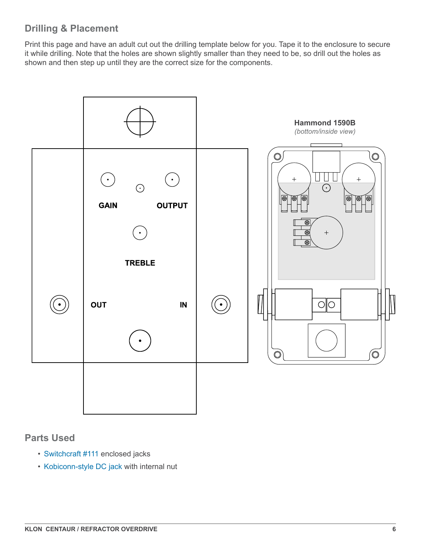# **Drilling & Placement**

Print this page and have an adult cut out the drilling template below for you. Tape it to the enclosure to secure it while drilling. Note that the holes are shown slightly smaller than they need to be, so drill out the holes as shown and then step up until they are the correct size for the components.



## **Parts Used**

- [Switchcraft #111](https://aionelectronics.com/link/switchcraft-111/) enclosed jacks
- [Kobiconn-style DC jack](https://aionelectronics.com/link/dc-jack/) with internal nut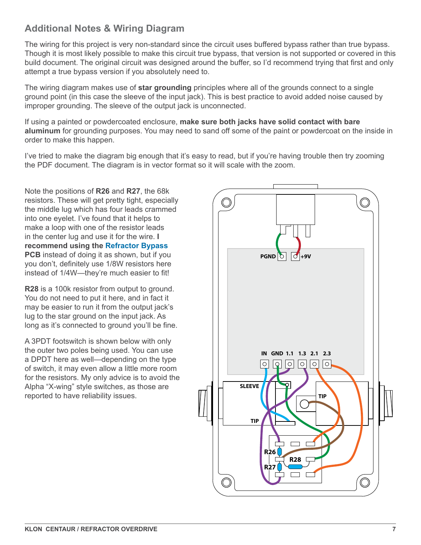# **Additional Notes & Wiring Diagram**

The wiring for this project is very non-standard since the circuit uses buffered bypass rather than true bypass. Though it is most likely possible to make this circuit true bypass, that version is not supported or covered in this build document. The original circuit was designed around the buffer, so I'd recommend trying that first and only attempt a true bypass version if you absolutely need to.

The wiring diagram makes use of **star grounding** principles where all of the grounds connect to a single ground point (in this case the sleeve of the input jack). This is best practice to avoid added noise caused by improper grounding. The sleeve of the output jack is unconnected.

If using a painted or powdercoated enclosure, **make sure both jacks have solid contact with bare aluminum** for grounding purposes. You may need to sand off some of the paint or powdercoat on the inside in order to make this happen.

I've tried to make the diagram big enough that it's easy to read, but if you're having trouble then try zooming the PDF document. The diagram is in vector format so it will scale with the zoom.

Note the positions of **R26** and **R27**, the 68k resistors. These will get pretty tight, especially the middle lug which has four leads crammed into one eyelet. I've found that it helps to make a loop with one of the resistor leads in the center lug and use it for the wire. **I recommend using the [Refractor Bypass](https://aionelectronics.com/project/refractor-3pdt-bypass-pcb/) PCB** instead of doing it as shown, but if you you don't, definitely use 1/8W resistors here instead of 1/4W—they're much easier to fit!

**R28** is a 100k resistor from output to ground. You do not need to put it here, and in fact it may be easier to run it from the output jack's lug to the star ground on the input jack. As long as it's connected to ground you'll be fine.

A 3PDT footswitch is shown below with only the outer two poles being used. You can use a DPDT here as well—depending on the type of switch, it may even allow a little more room for the resistors. My only advice is to avoid the Alpha "X-wing" style switches, as those are reported to have reliability issues.